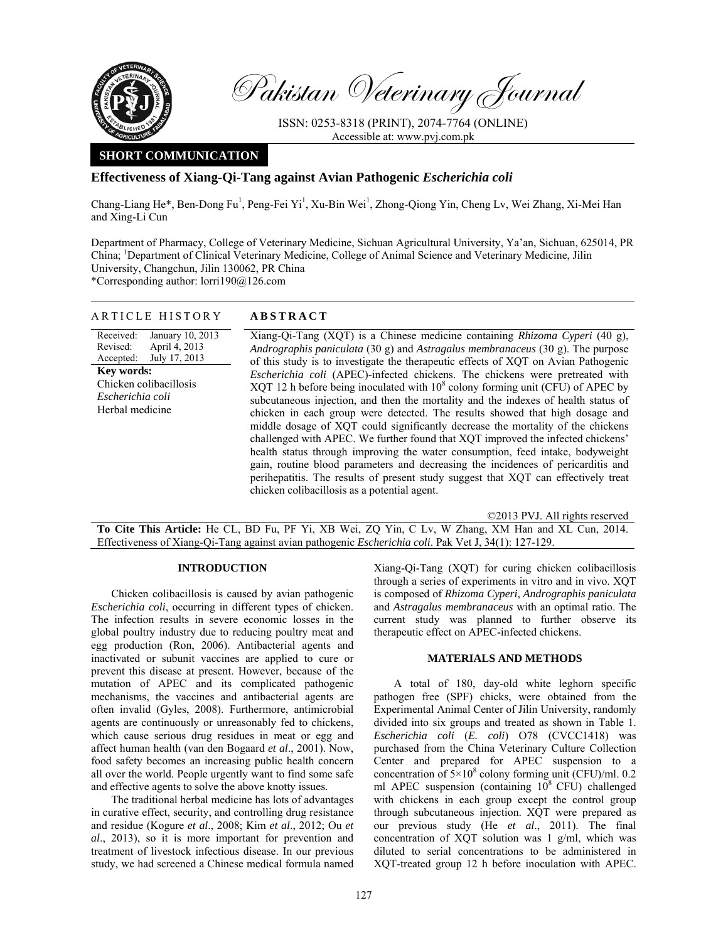

Pakistan Veterinary Journal

ISSN: 0253-8318 (PRINT), 2074-7764 (ONLINE) Accessible at: www.pvj.com.pk

# **SHORT COMMUNICATION**

## **Effectiveness of Xiang-Qi-Tang against Avian Pathogenic** *Escherichia coli*

Chang-Liang He\*, Ben-Dong Fu<sup>1</sup>, Peng-Fei Yi<sup>1</sup>, Xu-Bin Wei<sup>1</sup>, Zhong-Qiong Yin, Cheng Lv, Wei Zhang, Xi-Mei Han and Xing-Li Cun

Department of Pharmacy, College of Veterinary Medicine, Sichuan Agricultural University, Ya'an, Sichuan, 625014, PR China; <sup>1</sup>Department of Clinical Veterinary Medicine, College of Animal Science and Veterinary Medicine, Jilin University, Changchun, Jilin 130062, PR China \*Corresponding author: lorri190@126.com

ARTICLE HISTORY **ABSTRACT** 

| ARTICLE HISTORY                                                                                                                                                                | ABSIRACT                                                                                                                                                                                                                                                                                                                                                                                                                                                                                                                                                                                                                                                                                                                                                                                                                                                                                                                                                                                                                        |
|--------------------------------------------------------------------------------------------------------------------------------------------------------------------------------|---------------------------------------------------------------------------------------------------------------------------------------------------------------------------------------------------------------------------------------------------------------------------------------------------------------------------------------------------------------------------------------------------------------------------------------------------------------------------------------------------------------------------------------------------------------------------------------------------------------------------------------------------------------------------------------------------------------------------------------------------------------------------------------------------------------------------------------------------------------------------------------------------------------------------------------------------------------------------------------------------------------------------------|
| Received:<br>January 10, 2013<br>April 4, 2013<br>Revised:<br>July 17, 2013<br>Accepted:<br><b>Key words:</b><br>Chicken colibacillosis<br>Escherichia coli<br>Herbal medicine | Xiang-Qi-Tang (XQT) is a Chinese medicine containing Rhizoma Cyperi (40 g),<br>Andrographis paniculata (30 g) and Astragalus membranaceus (30 g). The purpose<br>of this study is to investigate the therapeutic effects of XOT on Avian Pathogenic<br>Escherichia coli (APEC)-infected chickens. The chickens were pretreated with<br>XQT 12 h before being inoculated with $108$ colony forming unit (CFU) of APEC by<br>subcutaneous injection, and then the mortality and the indexes of health status of<br>chicken in each group were detected. The results showed that high dosage and<br>middle dosage of XQT could significantly decrease the mortality of the chickens<br>challenged with APEC. We further found that XQT improved the infected chickens'<br>health status through improving the water consumption, feed intake, bodyweight<br>gain, routine blood parameters and decreasing the incidences of pericarditis and<br>perihepatitis. The results of present study suggest that XQT can effectively treat |

©2013 PVJ. All rights reserved **To Cite This Article:** He CL, BD Fu, PF Yi, XB Wei, ZQ Yin, C Lv, W Zhang, XM Han and XL Cun, 2014. Effectiveness of Xiang-Qi-Tang against avian pathogenic *Escherichia coli*. Pak Vet J, 34(1): 127-129.

chicken colibacillosis as a potential agent.

### **INTRODUCTION**

Chicken colibacillosis is caused by avian pathogenic *Escherichia coli*, occurring in different types of chicken. The infection results in severe economic losses in the global poultry industry due to reducing poultry meat and egg production (Ron, 2006). Antibacterial agents and inactivated or subunit vaccines are applied to cure or prevent this disease at present. However, because of the mutation of APEC and its complicated pathogenic mechanisms, the vaccines and antibacterial agents are often invalid (Gyles, 2008). Furthermore, antimicrobial agents are continuously or unreasonably fed to chickens, which cause serious drug residues in meat or egg and affect human health (van den Bogaard *et al*., 2001). Now, food safety becomes an increasing public health concern all over the world. People urgently want to find some safe and effective agents to solve the above knotty issues.

The traditional herbal medicine has lots of advantages in curative effect, security, and controlling drug resistance and residue (Kogure *et al*., 2008; Kim *et al*., 2012; Ou *et al*., 2013), so it is more important for prevention and treatment of livestock infectious disease. In our previous study, we had screened a Chinese medical formula named Xiang-Qi-Tang (XQT) for curing chicken colibacillosis through a series of experiments in vitro and in vivo. XQT is composed of *Rhizoma Cyperi*, *Andrographis paniculata*  and *Astragalus membranaceus* with an optimal ratio. The current study was planned to further observe its therapeutic effect on APEC-infected chickens.

#### **MATERIALS AND METHODS**

A total of 180, day-old white leghorn specific pathogen free (SPF) chicks, were obtained from the Experimental Animal Center of Jilin University, randomly divided into six groups and treated as shown in Table 1. *Escherichia coli* (*E. coli*) O78 (CVCC1418) was purchased from the China Veterinary Culture Collection Center and prepared for APEC suspension to a concentration of  $5 \times 10^8$  colony forming unit (CFU)/ml. 0.2 ml APEC suspension (containing  $10^8$  CFU) challenged with chickens in each group except the control group through subcutaneous injection. XQT were prepared as our previous study (He *et al*., 2011). The final concentration of XQT solution was 1 g/ml, which was diluted to serial concentrations to be administered in XQT-treated group 12 h before inoculation with APEC.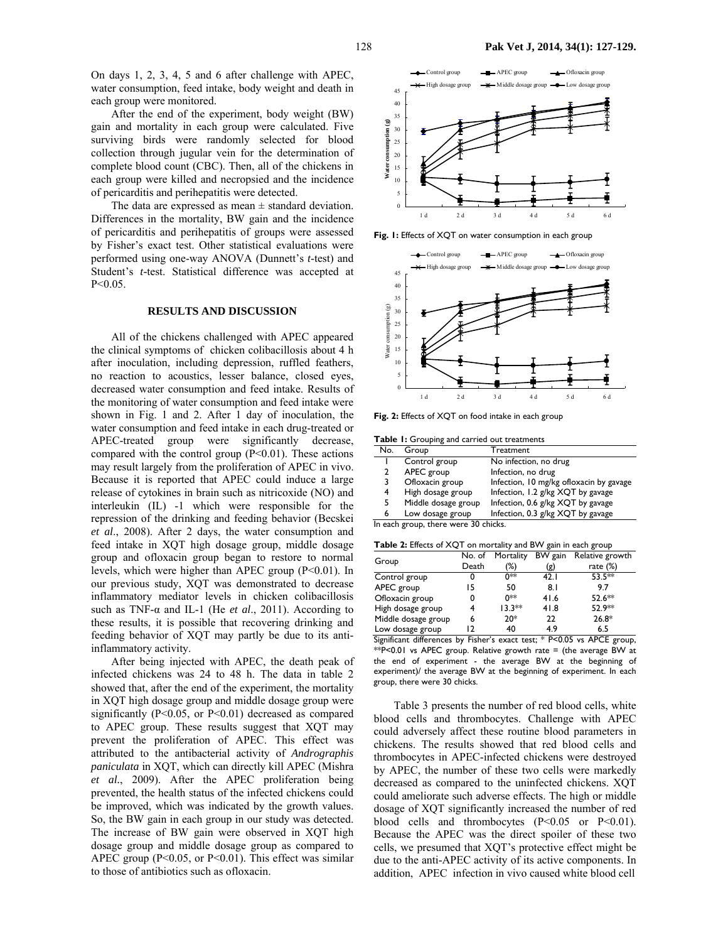On days 1, 2, 3, 4, 5 and 6 after challenge with APEC, water consumption, feed intake, body weight and death in each group were monitored.

After the end of the experiment, body weight (BW) gain and mortality in each group were calculated. Five surviving birds were randomly selected for blood collection through jugular vein for the determination of complete blood count (CBC). Then, all of the chickens in each group were killed and necropsied and the incidence of pericarditis and perihepatitis were detected.

The data are expressed as mean  $\pm$  standard deviation. Differences in the mortality, BW gain and the incidence of pericarditis and perihepatitis of groups were assessed by Fisher's exact test. Other statistical evaluations were performed using one-way ANOVA (Dunnett's *t*-test) and Student's *t-*test. Statistical difference was accepted at P<0.05.

#### **RESULTS AND DISCUSSION**

All of the chickens challenged with APEC appeared the clinical symptoms of chicken colibacillosis about 4 h after inoculation, including depression, ruffled feathers, no reaction to acoustics, lesser balance, closed eyes, decreased water consumption and feed intake. Results of the monitoring of water consumption and feed intake were shown in Fig. 1 and 2. After 1 day of inoculation, the water consumption and feed intake in each drug-treated or APEC-treated group were significantly decrease, compared with the control group  $(P<0.01)$ . These actions may result largely from the proliferation of APEC in vivo. Because it is reported that APEC could induce a large release of cytokines in brain such as nitricoxide (NO) and interleukin (IL) -1 which were responsible for the repression of the drinking and feeding behavior (Becskei *et al*., 2008). After 2 days, the water consumption and feed intake in XQT high dosage group, middle dosage group and ofloxacin group began to restore to normal levels, which were higher than APEC group  $(P<0.01)$ . In our previous study, XQT was demonstrated to decrease inflammatory mediator levels in chicken colibacillosis such as TNF-α and IL-1 (He *et al*., 2011). According to these results, it is possible that recovering drinking and feeding behavior of XQT may partly be due to its antiinflammatory activity.

After being injected with APEC, the death peak of infected chickens was 24 to 48 h. The data in table 2 showed that, after the end of the experiment, the mortality in XQT high dosage group and middle dosage group were significantly (P<0.05, or P<0.01) decreased as compared to APEC group. These results suggest that XQT may prevent the proliferation of APEC. This effect was attributed to the antibacterial activity of *Andrographis paniculata* in XQT, which can directly kill APEC (Mishra *et al.*, 2009). After the APEC proliferation being prevented, the health status of the infected chickens could be improved, which was indicated by the growth values. So, the BW gain in each group in our study was detected. The increase of BW gain were observed in XQT high dosage group and middle dosage group as compared to APEC group (P<0.05, or P<0.01). This effect was similar to those of antibiotics such as ofloxacin.



**Fig. 1:** Effects of XQT on water consumption in each group



**Fig. 2:** Effects of XQT on food intake in each group

**Table 1:** Grouping and carried out treatments

| No. | Group                                                                                                         | Treatment                               |
|-----|---------------------------------------------------------------------------------------------------------------|-----------------------------------------|
|     | Control group                                                                                                 | No infection, no drug                   |
|     | APEC group                                                                                                    | Infection, no drug                      |
|     | Ofloxacin group                                                                                               | Infection, 10 mg/kg ofloxacin by gavage |
| 4   | High dosage group                                                                                             | Infection, 1.2 g/kg XQT by gavage       |
| 5.  | Middle dosage group                                                                                           | Infection, 0.6 g/kg XQT by gavage       |
| 6   | Low dosage group                                                                                              | Infection, 0.3 g/kg XQT by gavage       |
|     | the state of the state of the control of the state of the state of the state of the state of the state of the |                                         |

In each group, there were 30 chicks.

|  | <b>Table 2:</b> Effects of XQT on mortality and BW gain in each group |  |
|--|-----------------------------------------------------------------------|--|
|  |                                                                       |  |

| $\frac{1}{2}$ and $\frac{1}{2}$ are $\frac{1}{2}$ and $\frac{1}{2}$ are $\frac{1}{2}$ and $\frac{1}{2}$ and $\frac{1}{2}$ and $\frac{1}{2}$ are $\frac{1}{2}$ and $\frac{1}{2}$ |        |           |         |                 |
|---------------------------------------------------------------------------------------------------------------------------------------------------------------------------------|--------|-----------|---------|-----------------|
|                                                                                                                                                                                 | No. of | Mortality | BW gain | Relative growth |
| Group                                                                                                                                                                           | Death  | (%)       | (g)     | rate $(\%)$     |
| Control group                                                                                                                                                                   | 0      | ∩**       | 42. I   | 53.5**          |
| APEC group                                                                                                                                                                      | 15     | 50        | 8. I    | 9.7             |
| Ofloxacin group                                                                                                                                                                 | 0      | ∩**       | 41.6    | 52.6**          |
| High dosage group                                                                                                                                                               | 4      | $13.3**$  | 41.8    | 52.9**          |
| Middle dosage group                                                                                                                                                             | 6      | $20*$     | 22      | $26.8*$         |
| Low dosage group                                                                                                                                                                | רו     | 40        | 4.9     | 6.5             |

Significant differences by Fisher's exact test; \* P<0.05 vs APCE group, \*\*P<0.01 vs APEC group. Relative growth rate = (the average BW at the end of experiment - the average BW at the beginning of experiment)/ the average BW at the beginning of experiment. In each group, there were 30 chicks.

Table 3 presents the number of red blood cells, white blood cells and thrombocytes. Challenge with APEC could adversely affect these routine blood parameters in chickens. The results showed that red blood cells and thrombocytes in APEC-infected chickens were destroyed by APEC, the number of these two cells were markedly decreased as compared to the uninfected chickens. XQT could ameliorate such adverse effects. The high or middle dosage of XQT significantly increased the number of red blood cells and thrombocytes (P<0.05 or P<0.01). Because the APEC was the direct spoiler of these two cells, we presumed that XQT's protective effect might be due to the anti-APEC activity of its active components. In addition, APEC infection in vivo caused white blood cell